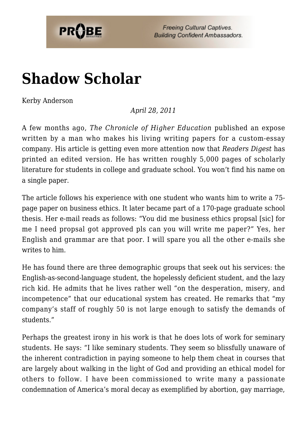

**Freeing Cultural Captives. Building Confident Ambassadors.** 

## **[Shadow Scholar](https://probe.org/shadow-scholar/)**

Kerby Anderson

## *April 28, 2011*

A few months ago, *The Chronicle of Higher Education* published an expose written by a man who makes his living writing papers for a custom-essay company. His article is getting even more attention now that *Readers Digest* has printed an edited version. He has written roughly 5,000 pages of scholarly literature for students in college and graduate school. You won't find his name on a single paper.

The article follows his experience with one student who wants him to write a 75 page paper on business ethics. It later became part of a 170-page graduate school thesis. Her e-mail reads as follows: "You did me business ethics propsal [sic] for me I need propsal got approved pls can you will write me paper?" Yes, her English and grammar are that poor. I will spare you all the other e-mails she writes to him.

He has found there are three demographic groups that seek out his services: the English-as-second-language student, the hopelessly deficient student, and the lazy rich kid. He admits that he lives rather well "on the desperation, misery, and incompetence" that our educational system has created. He remarks that "my company's staff of roughly 50 is not large enough to satisfy the demands of students."

Perhaps the greatest irony in his work is that he does lots of work for seminary students. He says: "I like seminary students. They seem so blissfully unaware of the inherent contradiction in paying someone to help them cheat in courses that are largely about walking in the light of God and providing an ethical model for others to follow. I have been commissioned to write many a passionate condemnation of America's moral decay as exemplified by abortion, gay marriage,